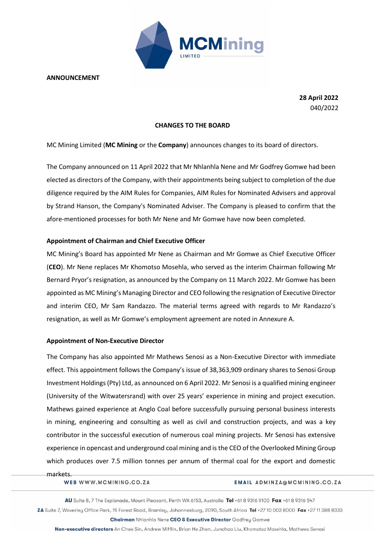

**ANNOUNCEMENT**

**28 April 2022** 040/2022

### **CHANGES TO THE BOARD**

MC Mining Limited (**MC Mining** or the **Company**) announces changes to its board of directors.

The Company announced on 11 April 2022 that Mr Nhlanhla Nene and Mr Godfrey Gomwe had been elected as directors of the Company, with their appointments being subject to completion of the due diligence required by the AIM Rules for Companies, AIM Rules for Nominated Advisers and approval by Strand Hanson, the Company's Nominated Adviser. The Company is pleased to confirm that the afore-mentioned processes for both Mr Nene and Mr Gomwe have now been completed.

### **Appointment of Chairman and Chief Executive Officer**

MC Mining's Board has appointed Mr Nene as Chairman and Mr Gomwe as Chief Executive Officer (**CEO**). Mr Nene replaces Mr Khomotso Mosehla, who served as the interim Chairman following Mr Bernard Pryor's resignation, as announced by the Company on 11 March 2022. Mr Gomwe has been appointed as MC Mining's Managing Director and CEO following the resignation of Executive Director and interim CEO, Mr Sam Randazzo. The material terms agreed with regards to Mr Randazzo's resignation, as well as Mr Gomwe's employment agreement are noted in Annexure A.

### **Appointment of Non-Executive Director**

The Company has also appointed Mr Mathews Senosi as a Non-Executive Director with immediate effect. This appointment follows the Company's issue of 38,363,909 ordinary shares to Senosi Group Investment Holdings (Pty) Ltd, as announced on 6 April 2022. Mr Senosi is a qualified mining engineer (University of the Witwatersrand) with over 25 years' experience in mining and project execution. Mathews gained experience at Anglo Coal before successfully pursuing personal business interests in mining, engineering and consulting as well as civil and construction projects, and was a key contributor in the successful execution of numerous coal mining projects. Mr Senosi has extensive experience in opencast and underground coal mining and is the CEO of the Overlooked Mining Group which produces over 7.5 million tonnes per annum of thermal coal for the export and domestic

markets.

WEB WWW.MCMINING.CO.ZA

#### EMAIL ADMINZA@MCMINING.CO.ZA

AU Suite 8, 7 The Esplanade, Mount Pleasant, Perth WA 6153, Australia Tel +61 8 9316 9100 Fax +61 8 9316 547

ZA Suite 7, Waverley Office Park, 15 Forest Road, Bramley, Johannesburg, 2090, South Africa Tel +27 10 003 8000 Fax +27 11 388 8333

**Chairman Nhlanhla Nene CEO & Executive Director Godfrey Gomwe** 

Non-executive directors An Chee Sin, Andrew Mifflin, Brian He Zhen, Junchao Liu, Khomotso Mosehla, Mathews Senosi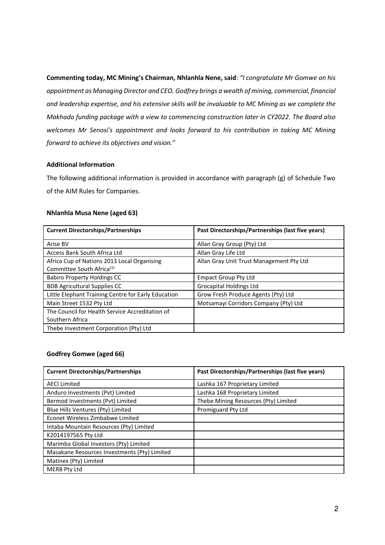**Commenting today, MC Mining's Chairman, Nhlanhla Nene, said**: *"I congratulate Mr Gomwe on his appointment as Managing Director and CEO. Godfrey brings a wealth of mining, commercial, financial and leadership expertise, and his extensive skills will be invaluable to MC Mining as we complete the Makhado funding package with a view to commencing construction later in CY2022. The Board also welcomes Mr Senosi's appointment and looks forward to his contribution in taking MC Mining forward to achieve its objectives and vision."*

## **Additional Information**

The following additional information is provided in accordance with paragraph (g) of Schedule Two of the AIM Rules for Companies.

## **Nhlanhla Musa Nene (aged 63)**

| <b>Current Directorships/Partnerships</b>                                            | Past Directorships/Partnerships (last five years) |
|--------------------------------------------------------------------------------------|---------------------------------------------------|
| Arise BV                                                                             | Allan Gray Group (Pty) Ltd                        |
| Access Bank South Africa Ltd                                                         | Allan Gray Life Ltd                               |
| Africa Cup of Nations 2013 Local Organising<br>Committee South Africa <sup>(1)</sup> | Allan Gray Unit Trust Management Pty Ltd          |
| <b>Babiro Property Holdings CC</b>                                                   | <b>Empact Group Pty Ltd</b>                       |
| <b>BDB Agricultural Supplies CC</b>                                                  | <b>Grocapital Holdings Ltd</b>                    |
| Little Elephant Training Centre for Early Education                                  | Grow Fresh Produce Agents (Pty) Ltd               |
| Main Street 1532 Pty Ltd                                                             | Motsamayi Corridors Company (Pty) Ltd             |
| The Council for Health Service Accreditation of                                      |                                                   |
| Southern Africa                                                                      |                                                   |
| Thebe Investment Corporation (Pty) Ltd                                               |                                                   |

## **Godfrey Gomwe (aged 66)**

| <b>Current Directorships/Partnerships</b>    | Past Directorships/Partnerships (last five years) |
|----------------------------------------------|---------------------------------------------------|
| <b>AECI Limited</b>                          | Lashka 167 Proprietary Limited                    |
| Anduro Investments (Pvt) Limited             | Lashka 168 Proprietary Limited                    |
| Bermod Investments (Pvt) Limited             | Thebe Mining Resources (Pty) Limited              |
| Blue Hills Ventures (Pty) Limited            | Promiguard Pty Ltd                                |
| Econet Wireless Zimbabwe Limited             |                                                   |
| Intaba Mountain Resources (Pty) Limited      |                                                   |
| K2014197565 Pty Ltd                          |                                                   |
| Marimba Global Investors (Pty) Limited       |                                                   |
| Masakane Resources Investments (Pty) Limited |                                                   |
| Matinex (Pty) Limited                        |                                                   |
| <b>MERB Pty Ltd</b>                          |                                                   |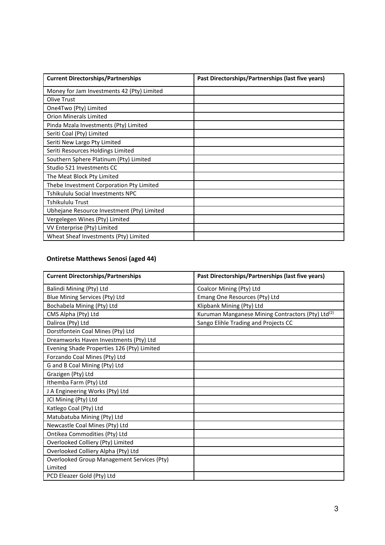| <b>Current Directorships/Partnerships</b>  | Past Directorships/Partnerships (last five years) |
|--------------------------------------------|---------------------------------------------------|
| Money for Jam Investments 42 (Pty) Limited |                                                   |
| Olive Trust                                |                                                   |
| One4Two (Pty) Limited                      |                                                   |
| <b>Orion Minerals Limited</b>              |                                                   |
| Pinda Mzala Investments (Pty) Limited      |                                                   |
| Seriti Coal (Pty) Limited                  |                                                   |
| Seriti New Largo Pty Limited               |                                                   |
| Seriti Resources Holdings Limited          |                                                   |
| Southern Sphere Platinum (Pty) Limited     |                                                   |
| Studio 521 Investments CC                  |                                                   |
| The Meat Block Pty Limited                 |                                                   |
| Thebe Investment Corporation Pty Limited   |                                                   |
| Tshikululu Social Investments NPC          |                                                   |
| Tshikululu Trust                           |                                                   |
| Ubhejane Resource Investment (Pty) Limited |                                                   |
| Vergelegen Wines (Pty) Limited             |                                                   |
| VV Enterprise (Pty) Limited                |                                                   |
| Wheat Sheaf Investments (Pty) Limited      |                                                   |

# **Ontiretse Matthews Senosi (aged 44)**

| <b>Current Directorships/Partnerships</b>         | Past Directorships/Partnerships (last five years)             |  |
|---------------------------------------------------|---------------------------------------------------------------|--|
| Balindi Mining (Pty) Ltd                          | Coalcor Mining (Pty) Ltd                                      |  |
| Blue Mining Services (Pty) Ltd                    | Emang One Resources (Pty) Ltd                                 |  |
| Bochabela Mining (Pty) Ltd                        | Klipbank Mining (Pty) Ltd                                     |  |
| CMS Alpha (Pty) Ltd                               | Kuruman Manganese Mining Contractors (Pty) Ltd <sup>(2)</sup> |  |
| Dalirox (Pty) Ltd                                 | Sango Elihle Trading and Projects CC                          |  |
| Dorstfontein Coal Mines (Pty) Ltd                 |                                                               |  |
| Dreamworks Haven Investments (Pty) Ltd            |                                                               |  |
| Evening Shade Properties 126 (Pty) Limited        |                                                               |  |
| Forzando Coal Mines (Pty) Ltd                     |                                                               |  |
| G and B Coal Mining (Pty) Ltd                     |                                                               |  |
| Grazigen (Pty) Ltd                                |                                                               |  |
| Ithemba Farm (Pty) Ltd                            |                                                               |  |
| J A Engineering Works (Pty) Ltd                   |                                                               |  |
| JCI Mining (Pty) Ltd                              |                                                               |  |
| Katlego Coal (Pty) Ltd                            |                                                               |  |
| Matubatuba Mining (Pty) Ltd                       |                                                               |  |
| Newcastle Coal Mines (Pty) Ltd                    |                                                               |  |
| Ontikea Commodities (Pty) Ltd                     |                                                               |  |
| Overlooked Colliery (Pty) Limited                 |                                                               |  |
| Overlooked Colliery Alpha (Pty) Ltd               |                                                               |  |
| <b>Overlooked Group Management Services (Pty)</b> |                                                               |  |
| Limited                                           |                                                               |  |
| PCD Eleazer Gold (Pty) Ltd                        |                                                               |  |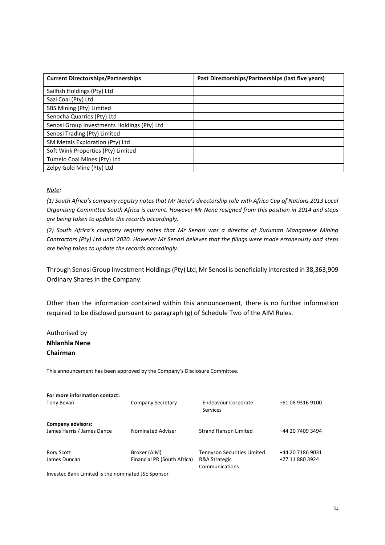| <b>Current Directorships/Partnerships</b>   | Past Directorships/Partnerships (last five years) |
|---------------------------------------------|---------------------------------------------------|
| Sailfish Holdings (Pty) Ltd                 |                                                   |
| Sazi Coal (Pty) Ltd                         |                                                   |
| SBS Mining (Pty) Limited                    |                                                   |
| Senocha Quarries (Pty) Ltd                  |                                                   |
| Senosi Group Investments Holdings (Pty) Ltd |                                                   |
| Senosi Trading (Pty) Limited                |                                                   |
| SM Metals Exploration (Pty) Ltd             |                                                   |
| Soft Wink Properties (Pty) Limited          |                                                   |
| Tumelo Coal Mines (Pty) Ltd                 |                                                   |
| Zelpy Gold Mine (Pty) Ltd                   |                                                   |

## *Note:*

*(1) South Africa's company registry notes that Mr Nene's directorship role with Africa Cup of Nations 2013 Local Organising Committee South Africa is current. However Mr Nene resigned from this position in 2014 and steps are being taken to update the records accordingly.*

*(2) South Africa's company registry notes that Mr Senosi was a director of Kuruman Manganese Mining Contractors (Pty) Ltd until 2020. However Mr Senosi believes that the filings were made erroneously and steps are being taken to update the records accordingly.* 

Through Senosi Group Investment Holdings (Pty) Ltd, Mr Senosi is beneficially interested in 38,363,909 Ordinary Shares in the Company.

Other than the information contained within this announcement, there is no further information required to be disclosed pursuant to paragraph (g) of Schedule Two of the AIM Rules.

Authorised by **Nhlanhla Nene Chairman**

This announcement has been approved by the Company's Disclosure Committee.

| For more information contact:<br>Tony Bevan            | Company Secretary                           | <b>Endeavour Corporate</b><br>Services                                | +61 08 9316 9100                    |
|--------------------------------------------------------|---------------------------------------------|-----------------------------------------------------------------------|-------------------------------------|
| <b>Company advisors:</b><br>James Harris / James Dance | <b>Nominated Adviser</b>                    | <b>Strand Hanson Limited</b>                                          | +44 20 7409 3494                    |
| Rory Scott<br>James Duncan                             | Broker (AIM)<br>Financial PR (South Africa) | <b>Tennyson Securities Limited</b><br>R&A Strategic<br>Communications | +44 20 7186 9031<br>+27 11 880 3924 |

Investec Bank Limited is the nominated JSE Sponsor